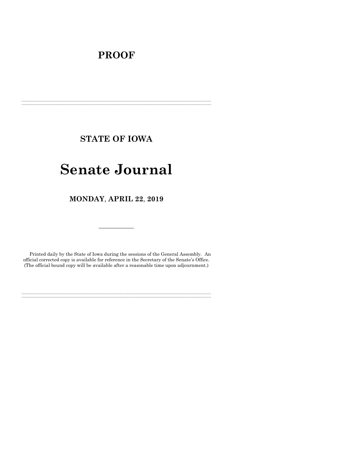# **PROOF**

**STATE OF IOWA**

**\_\_\_\_\_\_\_\_\_\_\_\_\_\_\_\_\_\_\_\_\_\_\_\_\_\_\_\_\_\_\_\_\_\_\_\_\_\_\_\_\_\_\_\_\_\_\_\_\_\_\_\_\_\_\_\_\_\_\_\_\_\_\_\_\_\_\_\_\_\_\_\_\_\_\_\_\_\_\_\_\_\_\_\_\_\_\_\_\_\_\_\_\_\_\_\_\_\_\_\_\_\_\_\_\_\_\_\_\_\_\_\_\_\_\_\_\_\_\_\_\_\_\_\_\_\_\_\_\_ \_\_\_\_\_\_\_\_\_\_\_\_\_\_\_\_\_\_\_\_\_\_\_\_\_\_\_\_\_\_\_\_\_\_\_\_\_\_\_\_\_\_\_\_\_\_\_\_\_\_\_\_\_\_\_\_\_\_\_\_\_\_\_\_\_\_\_\_\_\_\_\_\_\_\_\_\_\_\_\_\_\_\_\_\_\_\_\_\_\_\_\_\_\_\_\_\_\_\_\_\_\_\_\_\_\_\_\_\_\_\_\_\_\_\_\_\_\_\_\_\_\_\_\_\_\_\_\_\_**

# **Senate Journal**

**MONDAY**, **APRIL 22**, **2019**

Printed daily by the State of Iowa during the sessions of the General Assembly. An official corrected copy is available for reference in the Secretary of the Senate's Office. (The official bound copy will be available after a reasonable time upon adjournment.)

**\_\_\_\_\_\_\_\_\_\_\_\_\_\_\_\_\_\_\_\_\_\_\_\_\_\_\_\_\_\_\_\_\_\_\_\_\_\_\_\_\_\_\_\_\_\_\_\_\_\_\_\_\_\_\_\_\_\_\_\_\_\_\_\_\_\_\_\_\_\_\_\_\_\_\_\_\_\_\_\_\_\_\_\_\_\_\_\_\_\_\_\_\_\_\_\_\_\_\_\_\_\_\_\_\_\_\_\_\_\_\_\_\_\_\_\_\_\_\_\_\_\_\_\_\_\_\_\_\_ \_\_\_\_\_\_\_\_\_\_\_\_\_\_\_\_\_\_\_\_\_\_\_\_\_\_\_\_\_\_\_\_\_\_\_\_\_\_\_\_\_\_\_\_\_\_\_\_\_\_\_\_\_\_\_\_\_\_\_\_\_\_\_\_\_\_\_\_\_\_\_\_\_\_\_\_\_\_\_\_\_\_\_\_\_\_\_\_\_\_\_\_\_\_\_\_\_\_\_\_\_\_\_\_\_\_\_\_\_\_\_\_\_\_\_\_\_\_\_\_\_\_\_\_\_\_\_\_\_**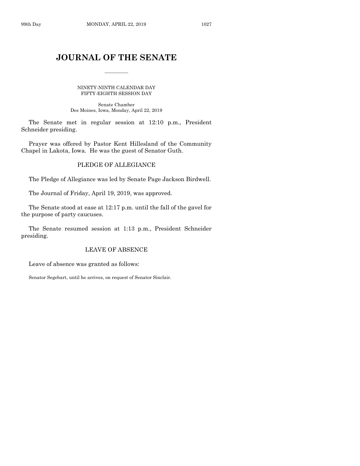# **JOURNAL OF THE SENATE**

 $\frac{1}{2}$ 

NINETY-NINTH CALENDAR DAY FIFTY-EIGHTH SESSION DAY

Senate Chamber Des Moines, Iowa, Monday, April 22, 2019

The Senate met in regular session at 12:10 p.m., President Schneider presiding.

Prayer was offered by Pastor Kent Hillesland of the Community Chapel in Lakota, Iowa. He was the guest of Senator Guth.

# PLEDGE OF ALLEGIANCE

The Pledge of Allegiance was led by Senate Page Jackson Birdwell.

The Journal of Friday, April 19, 2019, was approved.

The Senate stood at ease at 12:17 p.m. until the fall of the gavel for the purpose of party caucuses.

The Senate resumed session at 1:13 p.m., President Schneider presiding.

# LEAVE OF ABSENCE

Leave of absence was granted as follows:

Senator Segebart, until he arrives, on request of Senator Sinclair.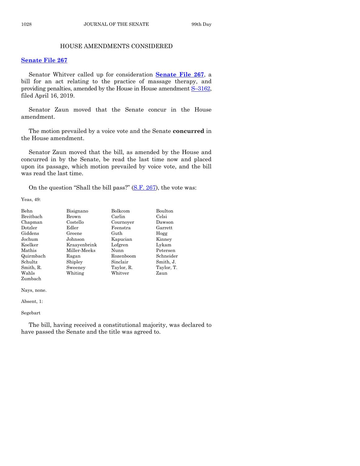# HOUSE AMENDMENTS CONSIDERED

#### **[Senate File 267](https://www.legis.iowa.gov/legislation/BillBook?ga=88&ba=SF267)**

Senator Whitver called up for consideration **[Senate File 267](https://www.legis.iowa.gov/legislation/BillBook?ga=88&ba=SF267)**, a bill for an act relating to the practice of massage therapy, and providing penalties, amended by the House in House amendment S–[3162,](https://www.legis.iowa.gov/legislation/BillBook?ga=88&ba=S3162) filed April 16, 2019.

Senator Zaun moved that the Senate concur in the House amendment.

The motion prevailed by a voice vote and the Senate **concurred** in the House amendment.

Senator Zaun moved that the bill, as amended by the House and concurred in by the Senate, be read the last time now and placed upon its passage, which motion prevailed by voice vote, and the bill was read the last time.

On the question "Shall the bill pass?" [\(S.F. 267\)](https://www.legis.iowa.gov/legislation/BillBook?ga=88&ba=SF267), the vote was:

Yeas, 49:

| Behn      | Bisignano    | Bolkcom    | Boulton    |
|-----------|--------------|------------|------------|
| Breitbach | Brown        | Carlin     | Celsi      |
| Chapman   | Costello     | Cournoyer  | Dawson     |
| Dotzler   | Edler        | Feenstra   | Garrett    |
| Giddens   | Greene       | Guth       | Hogg       |
| Jochum    | Johnson      | Kapucian   | Kinney     |
| Koelker   | Kraayenbrink | Lofgren    | Lykam      |
| Mathis    | Miller-Meeks | Nunn       | Petersen   |
| Quirmbach | Ragan        | Rozenboom  | Schneider  |
| Schultz   | Shipley      | Sinclair   | Smith, J.  |
| Smith, R. | Sweeney      | Taylor, R. | Taylor, T. |
| Wahls     | Whiting      | Whitver    | Zaun       |
| Zumbach   |              |            |            |

Nays, none.

Absent, 1:

#### Segebart

The bill, having received a constitutional majority, was declared to have passed the Senate and the title was agreed to.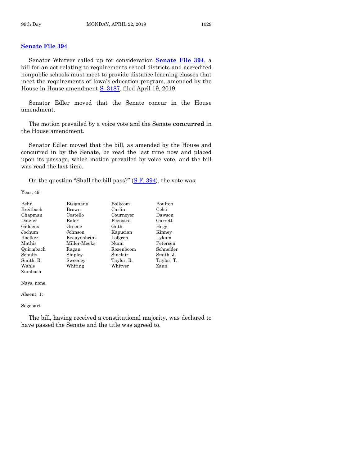# **[Senate File 394](https://www.legis.iowa.gov/legislation/BillBook?ga=88&ba=SF394)**

Senator Whitver called up for consideration **[Senate File 394](https://www.legis.iowa.gov/legislation/BillBook?ga=88&ba=SF394)**, a bill for an act relating to requirements school districts and accredited nonpublic schools must meet to provide distance learning classes that meet the requirements of Iowa's education program, amended by the House in House amendment S–[3187,](https://www.legis.iowa.gov/legislation/BillBook?ga=88&ba=S3187) filed April 19, 2019.

Senator Edler moved that the Senate concur in the House amendment.

The motion prevailed by a voice vote and the Senate **concurred** in the House amendment.

Senator Edler moved that the bill, as amended by the House and concurred in by the Senate, be read the last time now and placed upon its passage, which motion prevailed by voice vote, and the bill was read the last time.

On the question "Shall the bill pass?" [\(S.F. 394\)](https://www.legis.iowa.gov/legislation/BillBook?ga=88&ba=SF394), the vote was:

Yeas, 49:

| Behn      | Bisignano    | Bolkcom    | Boulton    |
|-----------|--------------|------------|------------|
| Breitbach | Brown        | Carlin     | Celsi      |
| Chapman   | Costello     | Cournoyer  | Dawson     |
| Dotzler   | Edler        | Feenstra   | Garrett    |
| Giddens   | Greene       | Guth       | Hogg       |
| Jochum    | Johnson      | Kapucian   | Kinney     |
| Koelker   | Kraayenbrink | Lofgren    | Lykam      |
| Mathis    | Miller-Meeks | Nunn       | Petersen   |
| Quirmbach | Ragan        | Rozenboom  | Schneider  |
| Schultz   | Shipley      | Sinclair   | Smith, J.  |
| Smith, R. | Sweeney      | Taylor, R. | Taylor, T. |
| Wahls     | Whiting      | Whitver    | Zaun       |
| Zumbach   |              |            |            |

Nays, none.

Absent, 1:

Segebart

The bill, having received a constitutional majority, was declared to have passed the Senate and the title was agreed to.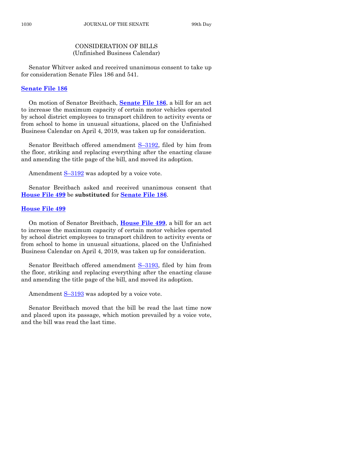# CONSIDERATION OF BILLS (Unfinished Business Calendar)

Senator Whitver asked and received unanimous consent to take up for consideration Senate Files 186 and 541.

#### **[Senate File 186](https://www.legis.iowa.gov/legislation/BillBook?ga=88&ba=SF186)**

On motion of Senator Breitbach, **[Senate File 186](https://www.legis.iowa.gov/legislation/BillBook?ga=88&ba=SF186)**, a bill for an act to increase the maximum capacity of certain motor vehicles operated by school district employees to transport children to activity events or from school to home in unusual situations, placed on the Unfinished Business Calendar on April 4, 2019, was taken up for consideration.

Senator Breitbach offered amendment S-[3192,](https://www.legis.iowa.gov/legislation/BillBook?ga=88&ba=S3192) filed by him from the floor, striking and replacing everything after the enacting clause and amending the title page of the bill, and moved its adoption.

Amendment S-[3192](https://www.legis.iowa.gov/legislation/BillBook?ga=88&ba=S3192) was adopted by a voice vote.

Senator Breitbach asked and received unanimous consent that **[House File 499](https://www.legis.iowa.gov/legislation/BillBook?ga=88&ba=HF499)** be **substituted** for **[Senate File 186](https://www.legis.iowa.gov/legislation/BillBook?ga=88&ba=SF186)**.

#### **[House File 499](https://www.legis.iowa.gov/legislation/BillBook?ga=88&ba=HF499)**

On motion of Senator Breitbach, **[House File 499](https://www.legis.iowa.gov/legislation/BillBook?ga=88&ba=HF499)**, a bill for an act to increase the maximum capacity of certain motor vehicles operated by school district employees to transport children to activity events or from school to home in unusual situations, placed on the Unfinished Business Calendar on April 4, 2019, was taken up for consideration.

Senator Breitbach offered amendment S–[3193,](https://www.legis.iowa.gov/legislation/BillBook?ga=88&ba=S3193) filed by him from the floor, striking and replacing everything after the enacting clause and amending the title page of the bill, and moved its adoption.

Amendment  $S-3193$  $S-3193$  was adopted by a voice vote.

Senator Breitbach moved that the bill be read the last time now and placed upon its passage, which motion prevailed by a voice vote, and the bill was read the last time.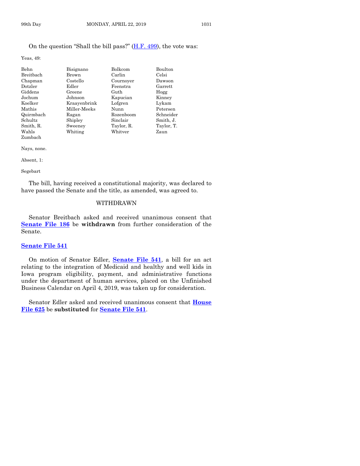#### On the question "Shall the bill pass?" [\(H.F. 499\)](https://www.legis.iowa.gov/legislation/BillBook?ga=88&ba=HF499), the vote was:

Yeas, 49:

| Behn             | Bisignano    | Bolkcom    | Boulton    |
|------------------|--------------|------------|------------|
| <b>Breithach</b> | Brown        | Carlin     | Celsi      |
| Chapman          | Costello     | Cournoyer  | Dawson     |
|                  |              |            |            |
| Dotzler          | Edler        | Feenstra   | Garrett    |
| Giddens          | Greene       | Guth       | Hogg       |
| Jochum           | Johnson      | Kapucian   | Kinney     |
| Koelker          | Kraavenbrink | Lofgren    | Lykam      |
| Mathis           | Miller-Meeks | Nunn       | Petersen   |
| Quirmbach        | Ragan        | Rozenboom  | Schneider  |
| Schultz          | Shipley      | Sinclair   | Smith, J.  |
| Smith, R.        | Sweeney      | Taylor, R. | Taylor, T. |
| Wahls            | Whiting      | Whitver    | Zaun       |
| Zumbach          |              |            |            |

Nays, none.

Absent, 1:

#### Segebart

The bill, having received a constitutional majority, was declared to have passed the Senate and the title, as amended, was agreed to.

#### WITHDRAWN

Senator Breitbach asked and received unanimous consent that **[Senate File 186](https://www.legis.iowa.gov/legislation/BillBook?ga=88&ba=SF186)** be **withdrawn** from further consideration of the Senate.

#### **[Senate File 541](https://www.legis.iowa.gov/legislation/BillBook?ga=88&ba=SF541)**

On motion of Senator Edler, **[Senate File 541](https://www.legis.iowa.gov/legislation/BillBook?ga=88&ba=SF541)**, a bill for an act relating to the integration of Medicaid and healthy and well kids in Iowa program eligibility, payment, and administrative functions under the department of human services, placed on the Unfinished Business Calendar on April 4, 2019, was taken up for consideration.

Senator Edler asked and received unanimous consent that **[House](https://www.legis.iowa.gov/legislation/BillBook?ga=88&ba=HF625)  [File 625](https://www.legis.iowa.gov/legislation/BillBook?ga=88&ba=HF625)** be **substituted** for **[Senate File 541](https://www.legis.iowa.gov/legislation/BillBook?ga=88&ba=SF541)**.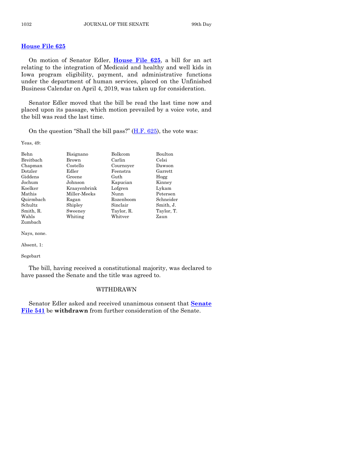# **[House File 625](https://www.legis.iowa.gov/legislation/BillBook?ga=88&ba=HF625)**

On motion of Senator Edler, **[House File 625](https://www.legis.iowa.gov/legislation/BillBook?ga=88&ba=HF625)**, a bill for an act relating to the integration of Medicaid and healthy and well kids in Iowa program eligibility, payment, and administrative functions under the department of human services, placed on the Unfinished Business Calendar on April 4, 2019, was taken up for consideration.

Senator Edler moved that the bill be read the last time now and placed upon its passage, which motion prevailed by a voice vote, and the bill was read the last time.

On the question "Shall the bill pass?" [\(H.F. 625\)](https://www.legis.iowa.gov/legislation/BillBook?ga=88&ba=HF625), the vote was:

Yeas, 49:

| Behn      | Bisignano    | <b>Bolkcom</b> | <b>Boulton</b> |
|-----------|--------------|----------------|----------------|
| Breitbach | Brown        | Carlin         | Celsi          |
| Chapman   | Costello     | Cournoyer      | Dawson         |
| Dotzler   | Edler        | Feenstra       | Garrett        |
| Giddens   | Greene       | Guth           | Hogg           |
| Jochum    | Johnson      | Kapucian       | Kinney         |
| Koelker   | Kraavenbrink | Lofgren        | Lykam          |
| Mathis    | Miller-Meeks | Nunn           | Petersen       |
| Quirmbach | Ragan        | Rozenboom      | Schneider      |
| Schultz   | Shipley      | Sinclair       | Smith, J.      |
| Smith, R. | Sweeney      | Taylor, R.     | Taylor, T.     |
| Wahls     | Whiting      | Whitver        | Zaun           |
| Zumbach   |              |                |                |

Nays, none.

Absent, 1:

Segebart

The bill, having received a constitutional majority, was declared to have passed the Senate and the title was agreed to.

#### WITHDRAWN

Senator Edler asked and received unanimous consent that **[Senate](https://www.legis.iowa.gov/legislation/BillBook?ga=88&ba=SF541)  [File 541](https://www.legis.iowa.gov/legislation/BillBook?ga=88&ba=SF541)** be **withdrawn** from further consideration of the Senate.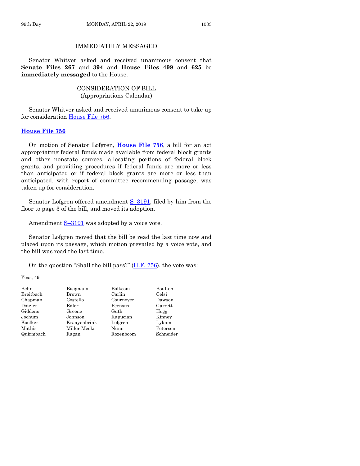# IMMEDIATELY MESSAGED

Senator Whitver asked and received unanimous consent that **Senate Files 267** and **394** and **House Files 499** and **625** be **immediately messaged** to the House.

# CONSIDERATION OF BILL (Appropriations Calendar)

Senator Whitver asked and received unanimous consent to take up for consideration [House File 756.](https://www.legis.iowa.gov/legislation/BillBook?ga=88&ba=HF756)

# **[House File 756](https://www.legis.iowa.gov/legislation/BillBook?ga=88&ba=HF756)**

On motion of Senator Lofgren, **[House File 756](https://www.legis.iowa.gov/legislation/BillBook?ga=88&ba=HF756)**, a bill for an act appropriating federal funds made available from federal block grants and other nonstate sources, allocating portions of federal block grants, and providing procedures if federal funds are more or less than anticipated or if federal block grants are more or less than anticipated, with report of committee recommending passage, was taken up for consideration.

Senator Lofgren offered amendment S-[3191,](https://www.legis.iowa.gov/legislation/BillBook?ga=88&ba=S3191) filed by him from the floor to page 3 of the bill, and moved its adoption.

Amendment  $S-3191$  $S-3191$  was adopted by a voice vote.

Senator Lofgren moved that the bill be read the last time now and placed upon its passage, which motion prevailed by a voice vote, and the bill was read the last time.

On the question "Shall the bill pass?" [\(H.F. 756\)](https://www.legis.iowa.gov/legislation/BillBook?ga=88&ba=HF756), the vote was:

Yeas, 49:

| <b>Behn</b> | Bisignano    | Bolkcom   | Boulton   |
|-------------|--------------|-----------|-----------|
| Breitbach   | Brown        | Carlin    | Celsi     |
| Chapman     | Costello     | Cournover | Dawson    |
| Dotzler     | Edler        | Feenstra  | Garrett   |
| Giddens     | Greene       | Guth      | Hogg      |
| Jochum      | Johnson      | Kapucian  | Kinney    |
| Koelker     | Kraavenbrink | Lofgren   | Lykam     |
| Mathis      | Miller-Meeks | Nunn      | Petersen  |
| Quirmbach   | Ragan        | Rozenboom | Schneider |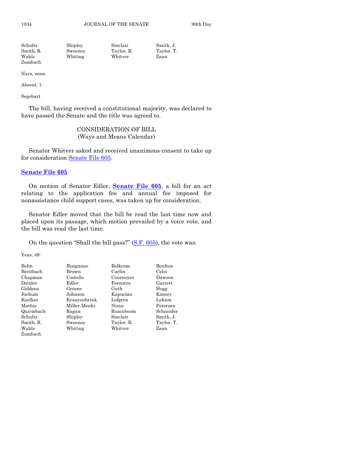| Schultz   | Shipley | Sinclair   | Smith. J.  |
|-----------|---------|------------|------------|
| Smith, R. | Sweeney | Taylor, R. | Taylor, T. |
| Wahls     | Whiting | Whitver    | Zaun       |
| Zumbach   |         |            |            |

Nays, none.

Absent, 1:

Segebart

The bill, having received a constitutional majority, was declared to have passed the Senate and the title was agreed to.

# CONSIDERATION OF BILL (Ways and Means Calendar)

Senator Whitver asked and received unanimous consent to take up for consideration [Senate File 605.](https://www.legis.iowa.gov/legislation/BillBook?ga=88&ba=SF605)

# **[Senate File 605](https://www.legis.iowa.gov/legislation/BillBook?ga=88&ba=SF605)**

On motion of Senator Edler, **[Senate File 605](https://www.legis.iowa.gov/legislation/BillBook?ga=88&ba=SF605)**, a bill for an act relating to the application fee and annual fee imposed for nonassistance child support cases, was taken up for consideration.

Senator Edler moved that the bill be read the last time now and placed upon its passage, which motion prevailed by a voice vote, and the bill was read the last time.

On the question "Shall the bill pass?" [\(S.F. 605\)](https://www.legis.iowa.gov/legislation/BillBook?ga=88&ba=SF605), the vote was:

Yeas, 49:

| Behn      | Bisignano    | Bolkcom    | Boulton    |
|-----------|--------------|------------|------------|
| Breitbach | Brown        | Carlin     | Celsi      |
| Chapman   | Costello     | Cournoyer  | Dawson     |
| Dotzler   | Edler        | Feenstra   | Garrett    |
| Giddens   | Greene       | Guth       | Hogg       |
| Jochum    | Johnson      | Kapucian   | Kinney     |
| Koelker   | Kraayenbrink | Lofgren    | Lykam      |
| Mathis    | Miller-Meeks | Nunn       | Petersen   |
| Quirmbach | Ragan        | Rozenboom  | Schneider  |
| Schultz   | Shipley      | Sinclair   | Smith, J.  |
| Smith, R. | Sweeney      | Taylor, R. | Taylor, T. |
| Wahls     | Whiting      | Whitver    | Zaun       |
| Zumbach   |              |            |            |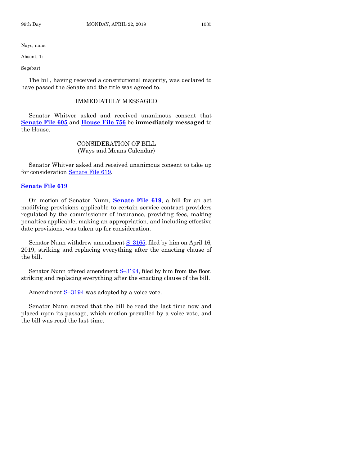Nays, none.

Absent, 1:

Segebart

The bill, having received a constitutional majority, was declared to have passed the Senate and the title was agreed to.

#### IMMEDIATELY MESSAGED

Senator Whitver asked and received unanimous consent that **[Senate File 605](https://www.legis.iowa.gov/legislation/BillBook?ga=88&ba=SF605)** and **[House File 756](https://www.legis.iowa.gov/legislation/BillBook?ga=88&ba=HF756)** be **immediately messaged** to the House.

# CONSIDERATION OF BILL (Ways and Means Calendar)

Senator Whitver asked and received unanimous consent to take up for consideration [Senate File 619.](https://www.legis.iowa.gov/legislation/BillBook?ga=88&ba=SF619)

#### **[Senate File 619](https://www.legis.iowa.gov/legislation/BillBook?ga=88&ba=SF619)**

On motion of Senator Nunn, **[Senate File 619](https://www.legis.iowa.gov/legislation/BillBook?ga=88&ba=SF619)**, a bill for an act modifying provisions applicable to certain service contract providers regulated by the commissioner of insurance, providing fees, making penalties applicable, making an appropriation, and including effective date provisions, was taken up for consideration.

Senator Nunn withdrew amendment S-[3165,](https://www.legis.iowa.gov/legislation/BillBook?ga=88&ba=S3165) filed by him on April 16, 2019, striking and replacing everything after the enacting clause of the bill.

Senator Nunn offered amendment S-[3194,](https://www.legis.iowa.gov/legislation/BillBook?ga=88&ba=S3194) filed by him from the floor, striking and replacing everything after the enacting clause of the bill.

Amendment S–[3194](https://www.legis.iowa.gov/legislation/BillBook?ga=88&ba=S3194) was adopted by a voice vote.

Senator Nunn moved that the bill be read the last time now and placed upon its passage, which motion prevailed by a voice vote, and the bill was read the last time.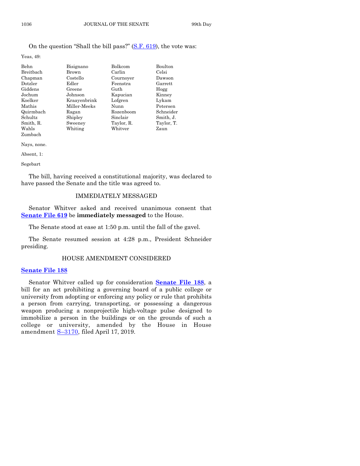On the question "Shall the bill pass?" [\(S.F. 619\)](https://www.legis.iowa.gov/legislation/BillBook?ga=88&ba=SF619), the vote was:

Yeas, 49:

| Bisignano    | Bolkcom    | Boulton    |
|--------------|------------|------------|
| Brown        | Carlin     | Celsi      |
| Costello     | Cournoyer  | Dawson     |
| Edler        | Feenstra   | Garrett    |
| Greene       | Guth       | Hogg       |
| Johnson      | Kapucian   | Kinney     |
| Kraayenbrink | Lofgren    | Lykam      |
| Miller-Meeks | Nunn       | Petersen   |
| Ragan        | Rozenboom  | Schneider  |
| Shipley      | Sinclair   | Smith, J.  |
| Sweeney      | Taylor, R. | Taylor, T. |
| Whiting      | Whitver    | Zaun       |
|              |            |            |

Zumbach Nays, none.

Absent, 1:

Segebart

The bill, having received a constitutional majority, was declared to have passed the Senate and the title was agreed to.

#### IMMEDIATELY MESSAGED

Senator Whitver asked and received unanimous consent that **[Senate File 619](https://www.legis.iowa.gov/legislation/BillBook?ga=88&ba=SF619)** be **immediately messaged** to the House.

The Senate stood at ease at 1:50 p.m. until the fall of the gavel.

The Senate resumed session at 4:28 p.m., President Schneider presiding.

#### HOUSE AMENDMENT CONSIDERED

#### **[Senate File 188](https://www.legis.iowa.gov/legislation/BillBook?ga=88&ba=SF188)**

Senator Whitver called up for consideration **[Senate File 188](https://www.legis.iowa.gov/legislation/BillBook?ga=88&ba=SF188)**, a bill for an act prohibiting a governing board of a public college or university from adopting or enforcing any policy or rule that prohibits a person from carrying, transporting, or possessing a dangerous weapon producing a nonprojectile high-voltage pulse designed to immobilize a person in the buildings or on the grounds of such a college or university, amended by the House in House amendment S–[3170,](https://www.legis.iowa.gov/legislation/BillBook?ga=88&ba=S3170) filed April 17, 2019.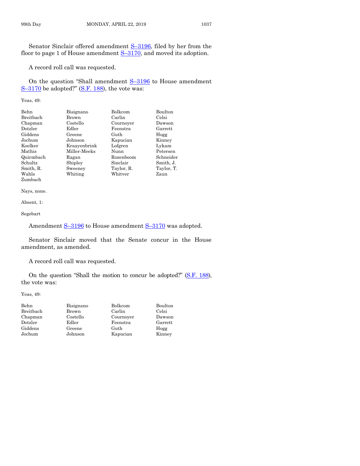Senator Sinclair offered amendment S–[3196,](https://www.legis.iowa.gov/legislation/BillBook?ga=88&ba=S3196) filed by her from the floor to page 1 of House amendment  $S-3170$ , and moved its adoption.

A record roll call was requested.

On the question "Shall amendment S–[3196](https://www.legis.iowa.gov/legislation/BillBook?ga=88&ba=S3196) to House amendment  $S-3170$  $S-3170$  be adopted?" [\(S.F.](https://www.legis.iowa.gov/legislation/BillBook?ga=88&ba=SF188) 188), the vote was:

Yeas, 49:

| Behn      | Bisignano    | Bolkcom    | Boulton    |
|-----------|--------------|------------|------------|
| Breitbach | Brown        | Carlin     | Celsi      |
| Chapman   | Costello     | Cournoyer  | Dawson     |
| Dotzler   | Edler        | Feenstra   | Garrett    |
| Giddens   | Greene       | Guth       | Hogg       |
| Jochum    | Johnson      | Kapucian   | Kinney     |
| Koelker   | Kraayenbrink | Lofgren    | Lykam      |
| Mathis    | Miller-Meeks | Nunn       | Petersen   |
| Quirmbach | Ragan        | Rozenboom  | Schneider  |
| Schultz   | Shipley      | Sinclair   | Smith, J.  |
| Smith, R. | Sweeney      | Taylor, R. | Taylor, T. |
| Wahls     | Whiting      | Whitver    | Zaun       |
| Zumbach   |              |            |            |

Nays, none.

Absent, 1:

Segebart

Amendment S-[3196](https://www.legis.iowa.gov/legislation/BillBook?ga=88&ba=S3196) to House amendment S-[3170](https://www.legis.iowa.gov/legislation/BillBook?ga=88&ba=S3170) was adopted.

Senator Sinclair moved that the Senate concur in the House amendment, as amended.

A record roll call was requested.

On the question "Shall the motion to concur be adopted?" [\(S.F. 188\)](https://www.legis.iowa.gov/legislation/BillBook?ga=88&ba=SF188), the vote was:

Yeas, 49:

| Behn      | Bisignano | <b>Bolkcom</b> | Boulton |
|-----------|-----------|----------------|---------|
| Breitbach | Brown     | Carlin         | Celsi   |
| Chapman   | Costello  | Cournoyer      | Dawson  |
| Dotzler   | Edler     | Feenstra       | Garrett |
| Giddens   | Greene    | Guth           | Hogg    |
| Jochum    | Johnson   | Kapucian       | Kinney  |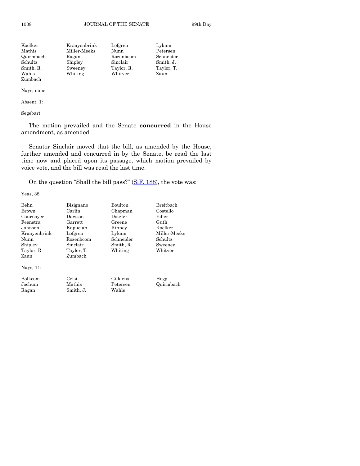| Koelker   | Kraayenbrink | Lofgren    | Lykam      |
|-----------|--------------|------------|------------|
| Mathis    | Miller-Meeks | Nunn       | Petersen   |
| Quirmbach | Ragan        | Rozenboom  | Schneider  |
| Schultz   | Shipley      | Sinclair   | Smith, J.  |
| Smith, R. | Sweeney      | Taylor, R. | Taylor, T. |
| Wahls     | Whiting      | Whitver    | Zaun       |
| Zumbach   |              |            |            |

Nays, none.

Absent, 1:

Segebart

The motion prevailed and the Senate **concurred** in the House amendment, as amended.

Senator Sinclair moved that the bill, as amended by the House, further amended and concurred in by the Senate, be read the last time now and placed upon its passage, which motion prevailed by voice vote, and the bill was read the last time.

On the question "Shall the bill pass?"  $(S.F. 188)$ , the vote was:

Yeas, 38:

| Behn           | Bisignano  | <b>Boulton</b> | Breithach    |
|----------------|------------|----------------|--------------|
| Brown          | Carlin     | Chapman        | Costello     |
| Cournoyer      | Dawson     | Dotzler        | Edler        |
| Feenstra       | Garrett    | Greene         | Guth         |
| Johnson        | Kapucian   | Kinney         | Koelker      |
| Kraayenbrink   | Lofgren    | Lykam          | Miller-Meeks |
| Nunn           | Rozenboom  | Schneider      | Schultz      |
| Shipley        | Sinclair   | Smith, R.      | Sweeney      |
| Taylor, R.     | Taylor, T. | Whiting        | Whitver      |
| Zaun           | Zumbach    |                |              |
| Nays, 11:      |            |                |              |
| <b>Bolkcom</b> | Celsi      | Giddens        | Hogg         |
| Jochum         | Mathis     | Petersen       | Quirmbach    |
| Ragan          | Smith, J.  | Wahls          |              |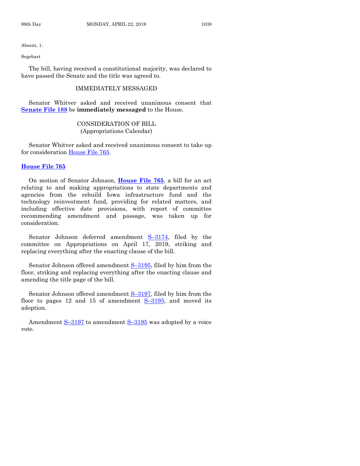Absent, 1:

Segebart

The bill, having received a constitutional majority, was declared to have passed the Senate and the title was agreed to.

# IMMEDIATELY MESSAGED

Senator Whitver asked and received unanimous consent that **[Senate File 188](https://www.legis.iowa.gov/legislation/BillBook?ga=88&ba=SF188)** be **immediately messaged** to the House.

#### CONSIDERATION OF BILL (Appropriations Calendar)

Senator Whitver asked and received unanimous consent to take up for consideration [House File 765.](https://www.legis.iowa.gov/legislation/BillBook?ga=88&ba=HF765)

# **[House File 765](https://www.legis.iowa.gov/legislation/BillBook?ga=88&ba=HF765)**

On motion of Senator Johnson, **[House File 765](https://www.legis.iowa.gov/legislation/BillBook?ga=88&ba=HF765)**, a bill for an act relating to and making appropriations to state departments and agencies from the rebuild Iowa infrastructure fund and the technology reinvestment fund, providing for related matters, and including effective date provisions, with report of committee recommending amendment and passage, was taken up for consideration.

Senator Johnson deferred amendment S–[3174,](https://www.legis.iowa.gov/legislation/BillBook?ga=88&ba=S3174) filed by the committee on Appropriations on April 17, 2019, striking and replacing everything after the enacting clause of the bill.

Senator Johnson offered amendment S–[3195,](https://www.legis.iowa.gov/legislation/BillBook?ga=88&ba=S3195) filed by him from the floor, striking and replacing everything after the enacting clause and amending the title page of the bill.

Senator Johnson offered amendment S-[3197,](https://www.legis.iowa.gov/legislation/BillBook?ga=88&ba=S3197) filed by him from the floor to pages 12 and 15 of amendment  $S-3195$ , and moved its adoption.

Amendment S–[3197](https://www.legis.iowa.gov/legislation/BillBook?ga=88&ba=S3197) to amendment S–[3195](https://www.legis.iowa.gov/legislation/BillBook?ga=88&ba=S3195) was adopted by a voice vote.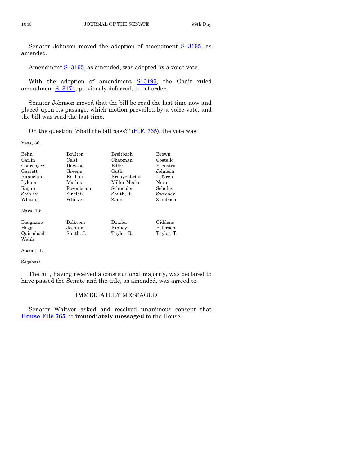Senator Johnson moved the adoption of amendment S-[3195,](https://www.legis.iowa.gov/legislation/BillBook?ga=88&ba=S3195) as amended.

Amendment S-[3195,](https://www.legis.iowa.gov/legislation/BillBook?ga=88&ba=S3195) as amended, was adopted by a voice vote.

With the adoption of amendment S-[3195,](https://www.legis.iowa.gov/legislation/BillBook?ga=88&ba=S3195) the Chair ruled amendment S–[3174,](https://www.legis.iowa.gov/legislation/BillBook?ga=88&ba=S3174) previously deferred, out of order.

Senator Johnson moved that the bill be read the last time now and placed upon its passage, which motion prevailed by a voice vote, and the bill was read the last time.

On the question "Shall the bill pass?" [\(H.F. 765\)](https://www.legis.iowa.gov/legislation/BillBook?ga=88&ba=HF765), the vote was:

Yeas, 36:

| Behn      | <b>Boulton</b> | Breithach    | Brown      |
|-----------|----------------|--------------|------------|
| Carlin    | Celsi          | Chapman      | Costello   |
| Cournoyer | Dawson         | Edler        | Feenstra   |
| Garrett   | Greene         | Guth         | Johnson    |
| Kapucian  | Koelker        | Kraayenbrink | Lofgren    |
| Lykam     | Mathis         | Miller Meeks | Nunn       |
| Ragan     | Rozenboom      | Schneider    | Schultz    |
| Shipley   | Sinclair       | Smith, R.    | Sweeney    |
| Whiting   | Whitver        | Zaun         | Zumbach    |
| Nays, 13: |                |              |            |
| Bisignano | Bolkcom        | Dotzler      | Giddens    |
| Hogg      | Jochum         | Kinney       | Petersen   |
| Quirmbach | Smith, J.      | Taylor, R.   | Taylor, T. |
| Wahls     |                |              |            |

Absent, 1:

Segebart

The bill, having received a constitutional majority, was declared to have passed the Senate and the title, as amended, was agreed to.

# IMMEDIATELY MESSAGED

Senator Whitver asked and received unanimous consent that **[House File 765](https://www.legis.iowa.gov/legislation/BillBook?ga=88&ba=HF765)** be **immediately messaged** to the House.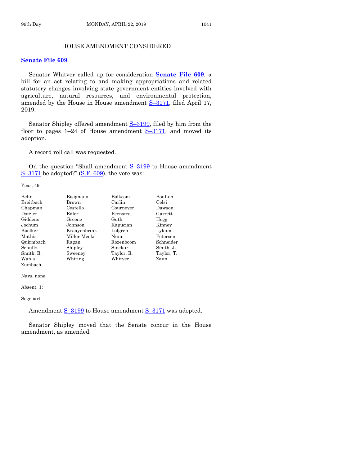# HOUSE AMENDMENT CONSIDERED

#### **[Senate File 609](https://www.legis.iowa.gov/legislation/BillBook?ga=88&ba=SF609)**

Senator Whitver called up for consideration **[Senate File 609](https://www.legis.iowa.gov/legislation/BillBook?ga=88&ba=SF609)**, a bill for an act relating to and making appropriations and related statutory changes involving state government entities involved with agriculture, natural resources, and environmental protection, amended by the House in House amendment **S**–[3171,](https://www.legis.iowa.gov/legislation/BillBook?ga=88&ba=S3171) filed April 17, 2019.

Senator Shipley offered amendment  $S-3199$ , filed by him from the floor to pages  $1-24$  of House amendment  $S-3171$ , and moved its adoption.

A record roll call was requested.

On the question "Shall amendment  $S-3199$  $S-3199$  to House amendment  $S-3171$  $S-3171$  be adopted?" [\(S.F. 609\)](https://www.legis.iowa.gov/legislation/BillBook?ga=88&ba=SF609), the vote was:

Yeas, 49:

| Behn      | Bisignano    | Bolkcom    | Boulton    |
|-----------|--------------|------------|------------|
| Breitbach | Brown        | Carlin     | Celsi      |
| Chapman   | Costello     | Cournoyer  | Dawson     |
| Dotzler   | Edler        | Feenstra   | Garrett    |
| Giddens   | Greene       | Guth       | Hogg       |
| Jochum    | Johnson      | Kapucian   | Kinney     |
| Koelker   | Kraayenbrink | Lofgren    | Lykam      |
| Mathis    | Miller-Meeks | Nunn       | Petersen   |
| Quirmbach | Ragan        | Rozenboom  | Schneider  |
| Schultz   | Shipley      | Sinclair   | Smith, J.  |
| Smith, R. | Sweeney      | Taylor, R. | Taylor, T. |
| Wahls     | Whiting      | Whitver    | Zaun       |
| Zumbach   |              |            |            |

Nays, none.

Absent, 1:

Segebart

Amendment S-[3199](https://www.legis.iowa.gov/legislation/BillBook?ga=88&ba=S3199) to House amendment S-[3171](https://www.legis.iowa.gov/legislation/BillBook?ga=88&ba=S3171) was adopted.

Senator Shipley moved that the Senate concur in the House amendment, as amended.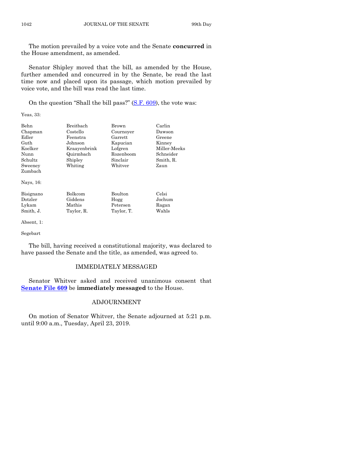The motion prevailed by a voice vote and the Senate **concurred** in the House amendment, as amended.

Senator Shipley moved that the bill, as amended by the House, further amended and concurred in by the Senate, be read the last time now and placed upon its passage, which motion prevailed by voice vote, and the bill was read the last time.

On the question "Shall the bill pass?" [\(S.F. 609\)](https://www.legis.iowa.gov/legislation/BillBook?ga=88&ba=SF609), the vote was:

Yeas, 33:

| <b>Behn</b> | Breithach    | Brown          | Carlin       |
|-------------|--------------|----------------|--------------|
| Chapman     | Costello     | Cournoyer      | Dawson       |
| Edler       | Feenstra     | Garrett        | Greene       |
| Guth        | Johnson      | Kapucian       | Kinney       |
| Koelker     | Kraavenbrink | Lofgren        | Miller-Meeks |
| Nunn        | Quirmbach    | Rozenboom      | Schneider    |
| Schultz     | Shipley      | Sinclair       | Smith, R.    |
| Sweeney     | Whiting      | Whitver        | Zaun         |
| Zumbach     |              |                |              |
| Nays, 16:   |              |                |              |
| Bisignano   | Bolkcom      | <b>Boulton</b> | Celsi        |
| Dotzler     | Giddens      | Hogg           | Jochum       |
| Lykam       | Mathis       | Petersen       | Ragan        |

Smith, J. Taylor, R. Taylor, T. Wahls

Absent, 1:

# Segebart

The bill, having received a constitutional majority, was declared to have passed the Senate and the title, as amended, was agreed to.

#### IMMEDIATELY MESSAGED

Senator Whitver asked and received unanimous consent that **[Senate File 609](https://www.legis.iowa.gov/legislation/BillBook?ga=88&ba=SF609)** be **immediately messaged** to the House.

# ADJOURNMENT

On motion of Senator Whitver, the Senate adjourned at 5:21 p.m. until 9:00 a.m., Tuesday, April 23, 2019.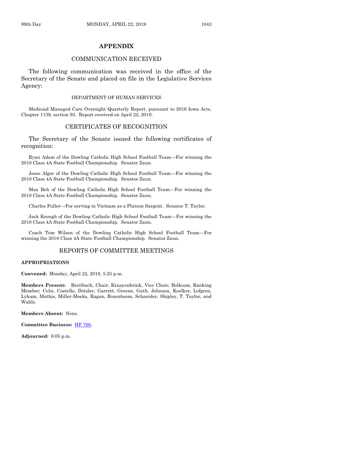# **APPENDIX**

#### COMMUNICATION RECEIVED

The following communication was received in the office of the Secretary of the Senate and placed on file in the Legislative Services Agency:

#### DEPARTMENT OF HUMAN SERVICES

Medicaid Managed Care Oversight Quarterly Report, pursuant to 2016 Iowa Acts, Chapter 1139, section 93. Report received on April 22, 2019.

#### CERTIFICATES OF RECOGNITION

The Secretary of the Senate issued the following certificates of recognition:

Ryan Adam of the Dowling Catholic High School Football Team—For winning the 2018 Class 4A State Football Championship. Senator Zaun.

Jesse Alger of the Dowling Catholic High School Football Team—For winning the 2018 Class 4A State Football Championship. Senator Zaun.

Max Beh of the Dowling Catholic High School Football Team—For winning the 2018 Class 4A State Football Championship. Senator Zaun.

Charles Fuller—For serving in Vietnam as a Platoon Sargent. Senator T. Taylor.

Jack Keough of the Dowling Catholic High School Football Team—For winning the 2018 Class 4A State Football Championship. Senator Zaun.

Coach Tom Wilson of the Dowling Catholic High School Football Team—For winning the 2018 Class 4A State Football Championship. Senator Zaun.

#### REPORTS OF COMMITTEE MEETINGS

#### **APPROPRIATIONS**

**Convened:** Monday, April 22, 2019, 5:25 p.m.

**Members Present:** Breitbach, Chair; Kraayenbrink, Vice Chair; Bolkcom, Ranking Member; Celsi, Costello, Dotzler, Garrett, Greene, Guth, Johnson, Koelker, Lofgren, Lykam, Mathis, Miller-Meeks, Ragan, Rozenboom, Schneider, Shipley, T. Taylor, and Wahls.

**Members Absent:** None.

**Committee Business:** [HF 766.](https://www.legis.iowa.gov/legislation/BillBook?ga=88&ba=HF766)

**Adjourned:** 6:05 p.m.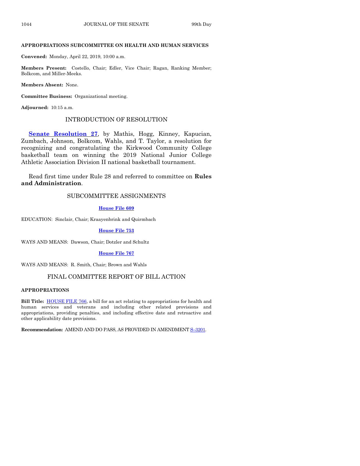#### **APPROPRIATIONS SUBCOMMITTEE ON HEALTH AND HUMAN SERVICES**

**Convened:** Monday, April 22, 2019, 10:00 a.m.

**Members Present:** Costello, Chair; Edler, Vice Chair; Ragan, Ranking Member; Bolkcom, and Miller-Meeks.

**Members Absent:** None.

**Committee Business:** Organizational meeting.

**Adjourned:** 10:15 a.m.

#### INTRODUCTION OF RESOLUTION

**[Senate Resolution 27](https://www.legis.iowa.gov/legislation/BillBook?ga=88&ba=SR27)**, by Mathis, Hogg, Kinney, Kapucian, Zumbach, Johnson, Bolkcom, Wahls, and T. Taylor, a resolution for recognizing and congratulating the Kirkwood Community College basketball team on winning the 2019 National Junior College Athletic Association Division II national basketball tournament.

Read first time under Rule 28 and referred to committee on **Rules and Administration**.

# SUBCOMMITTEE ASSIGNMENTS

**[House File 609](https://www.legis.iowa.gov/legislation/BillBook?ga=88&ba=HF609)**

EDUCATION: Sinclair, Chair; Kraayenbrink and Quirmbach

**[House File 753](https://www.legis.iowa.gov/legislation/BillBook?ga=88&ba=HF753)**

WAYS AND MEANS: Dawson, Chair; Dotzler and Schultz

**[House File 767](https://www.legis.iowa.gov/legislation/BillBook?ga=88&ba=HF767)**

WAYS AND MEANS: R. Smith, Chair; Brown and Wahls

#### FINAL COMMITTEE REPORT OF BILL ACTION

#### **APPROPRIATIONS**

**Bill Title:** [HOUSE FILE 766,](https://www.legis.iowa.gov/legislation/BillBook?ga=88&ba=HF766) a bill for an act relating to appropriations for health and human services and veterans and including other related provisions and appropriations, providing penalties, and including effective date and retroactive and other applicability date provisions.

**Recommendation:** AMEND AND DO PASS, AS PROVIDED IN AMENDMENT **S**-[3201.](https://www.legis.iowa.gov/legislation/BillBook?ga=88&ba=S3201)